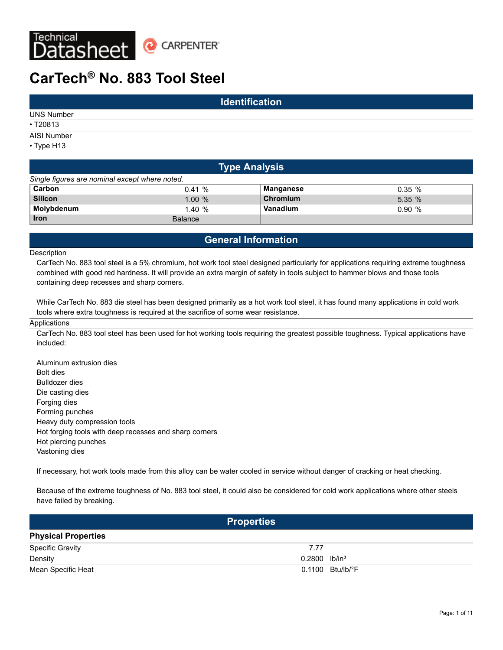

# **CarTech® No. 883 Tool Steel**

| <b>Identification</b> |  |  |  |  |  |  |  |
|-----------------------|--|--|--|--|--|--|--|
| <b>UNS Number</b>     |  |  |  |  |  |  |  |
| • T20813              |  |  |  |  |  |  |  |
| AISI Number           |  |  |  |  |  |  |  |
| • Type H13            |  |  |  |  |  |  |  |

| <b>Type Analysis</b>                           |                |           |           |  |  |  |  |  |  |
|------------------------------------------------|----------------|-----------|-----------|--|--|--|--|--|--|
| Single figures are nominal except where noted. |                |           |           |  |  |  |  |  |  |
| Carbon                                         | 0.41%          | Manganese | $0.35 \%$ |  |  |  |  |  |  |
| <b>Silicon</b>                                 | 1.00%          | Chromium  | 5.35%     |  |  |  |  |  |  |
| Molybdenum                                     | 1.40%          | Vanadium  | 0.90%     |  |  |  |  |  |  |
| <b>Iron</b>                                    | <b>Balance</b> |           |           |  |  |  |  |  |  |

# **General Information**

#### **Description**

CarTech No. 883 tool steel is a 5% chromium, hot work tool steel designed particularly for applications requiring extreme toughness combined with good red hardness. It will provide an extra margin of safety in tools subject to hammer blows and those tools containing deep recesses and sharp corners.

While CarTech No. 883 die steel has been designed primarily as a hot work tool steel, it has found many applications in cold work tools where extra toughness is required at the sacrifice of some wear resistance.

#### **Applications**

CarTech No. 883 tool steel has been used for hot working tools requiring the greatest possible toughness. Typical applications have included:

Aluminum extrusion dies Bolt dies Bulldozer dies Die casting dies Forging dies Forming punches Heavy duty compression tools Hot forging tools with deep recesses and sharp corners Hot piercing punches Vastoning dies

If necessary, hot work tools made from this alloy can be water cooled in service without danger of cracking or heat checking.

Because of the extreme toughness of No. 883 tool steel, it could also be considered for cold work applications where other steels have failed by breaking.

| <b>Properties</b>          |                             |  |  |  |  |  |  |
|----------------------------|-----------------------------|--|--|--|--|--|--|
| <b>Physical Properties</b> |                             |  |  |  |  |  |  |
| <b>Specific Gravity</b>    | 7.77                        |  |  |  |  |  |  |
| Density                    | $0.2800$ lb/in <sup>3</sup> |  |  |  |  |  |  |
| Mean Specific Heat         | 0.1100 Btu/lb/°F            |  |  |  |  |  |  |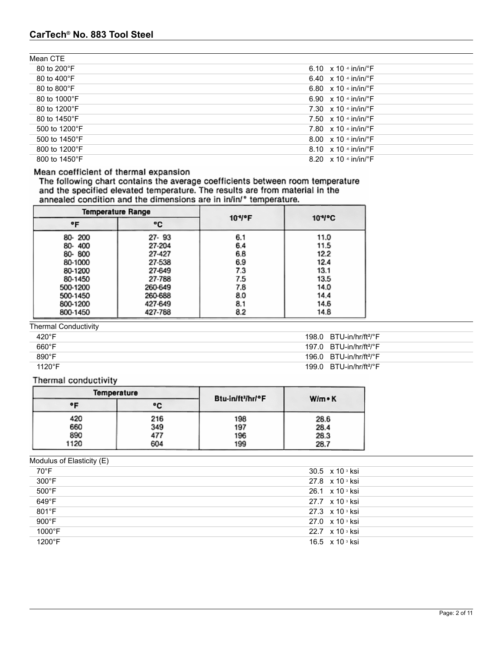# **CarTech® No. 883 Tool Steel**

| Mean CTE               |                                           |
|------------------------|-------------------------------------------|
| 80 to 200 $^{\circ}$ F | 6.10 $\times$ 10 $\cdot$ in/in/ $\cdot$ F |
| 80 to 400 $\degree$ F  | 6.40 $\times$ 10 $\cdot$ in/in/ $\cdot$ F |
| 80 to 800°F            | 6.80 $\times$ 10 $\cdot$ in/in/ $\cdot$ F |
| 80 to 1000°F           | 6.90 $\times$ 10 $\cdot$ in/in/ $\cdot$ F |
| 80 to 1200°F           | 7.30 $\times$ 10 $\cdot$ in/in/ $\cdot$ F |
| 80 to 1450°F           | 7.50 $\times$ 10 $\cdot$ in/in/ $\cdot$ F |
| 500 to 1200°F          | 7.80 $\times$ 10 $\cdot$ in/in/ $\cdot$ F |
| 500 to 1450°F          | 8.00 $\times$ 10 $\cdot$ in/in/ $\cdot$ F |
| 800 to 1200°F          | 8.10 $\times$ 10 $\cdot$ in/in/ $\cdot$ F |
| 800 to 1450°F          | 8.20 $\times$ 10 $\cdot$ in/in/ $\cdot$ F |

# Mean coefficient of thermal expansion

The following chart contains the average coefficients between room temperature<br>and the specified elevated temperature. The results are from material in the<br>annealed condition and the dimensions are in  $in/in$  temperature.

|          | <b>Temperature Range</b> | $104$ <sup>o</sup> F | $104$ °C |  |  |  |  |
|----------|--------------------------|----------------------|----------|--|--|--|--|
| ۰F       | ۰c                       |                      |          |  |  |  |  |
| 80-200   | 27-93                    | 6.1                  | 11.0     |  |  |  |  |
| 80-400   | 27-204                   | 6.4                  | 11.5     |  |  |  |  |
| 80-800   | 27-427                   | 6.8                  | 12.2     |  |  |  |  |
| 80-1000  | 27-538                   | 6.9                  | 12.4     |  |  |  |  |
| 80-1200  | 27-649                   | 7.3                  | 13.1     |  |  |  |  |
| 80-1450  | 27-788                   | 7.5                  | 13.5     |  |  |  |  |
| 500-1200 | 260-649                  | 7.8                  | 14.0     |  |  |  |  |
| 500-1450 | 260-688                  | 8.0                  | 14.4     |  |  |  |  |
| 800-1200 | 427-649                  | 8.1                  | 14.6     |  |  |  |  |
| 800-1450 | 427-788                  | 8.2                  | 14.8     |  |  |  |  |

Thermal Conductivity

| 420°F           | $198.0$ BTU-in/hr/ft <sup>2</sup> /°F |
|-----------------|---------------------------------------|
| $660^{\circ}$ F | 197.0 $BTU-in/hr/ft2/°F$              |
| 890°F           | 196.0 $BTU-in/hr/ft2/°F$              |
| $1120^{\circ}F$ | 199.0 $BTU-in/hr/ft^2$ <sup>o</sup> F |

Thermal conductivity

|      | Temperature | Btu-in/ft <sup>3</sup> /hr/°F |               |  |  |
|------|-------------|-------------------------------|---------------|--|--|
| ۰F   | ۰c          |                               | $W/m \cdot K$ |  |  |
| 420  | 216         | 198                           | 28.6          |  |  |
| 660  | 349         | 197                           | 28.4          |  |  |
| 890  | 477         | 196                           | 28.3          |  |  |
| 1120 | 604         | 199                           | 28.7          |  |  |

Modulus of Elasticity (E)

| 70°F   | 30.5 $\times$ 10 $\,^{\circ}$ ksi |
|--------|-----------------------------------|
| 300°F  | 27.8 x 10 s ksi                   |
| 500°F  | 26.1 $\times$ 10 <sup>3</sup> ksi |
| 649°F  | 27.7 x 10 s ksi                   |
| 801°F  | 27.3 x 10 s ksi                   |
| 900°F  | 27.0 x 10 s ksi                   |
| 1000°F | 22.7 x 10 s ksi                   |
| 1200°F | 16.5 $\times$ 10 $\degree$ ksi    |
|        |                                   |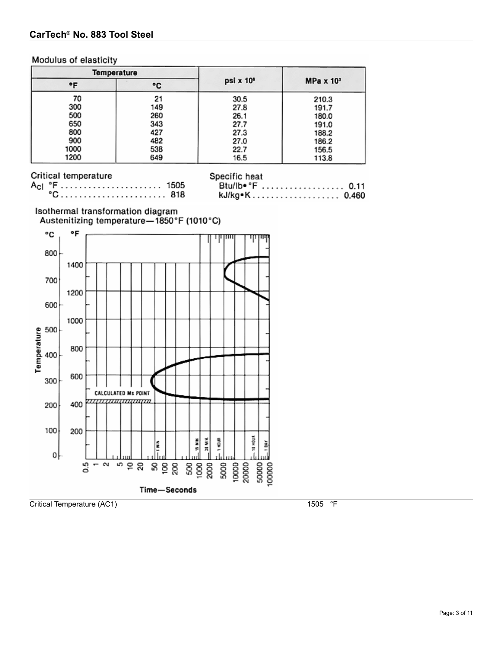# Modulus of elasticity

|      | <b>Temperature</b> |                       |                  |  |  |  |
|------|--------------------|-----------------------|------------------|--|--|--|
| ۰F   | ۰c                 | psi x 10 <sup>a</sup> | $MPa \times 103$ |  |  |  |
| 70   | 21                 | 30.5                  | 210.3            |  |  |  |
| 300  | 149                | 27.8                  | 191.7            |  |  |  |
| 500  | 260                | 26.1                  | 180.0            |  |  |  |
| 650  | 343                | 27.7                  | 191.0            |  |  |  |
| 800  | 427                | 27.3                  | 188.2            |  |  |  |
| 900  | 482                | 27.0                  | 186.2            |  |  |  |
| 1000 | 538                | 22.7                  | 156.5            |  |  |  |
| 1200 | 649                | 16.5                  | 113.8            |  |  |  |

# Critical temperature

|  |  |  |  |  |  |  |  |  |  |  |  | 1505   |
|--|--|--|--|--|--|--|--|--|--|--|--|--------|
|  |  |  |  |  |  |  |  |  |  |  |  | °C 818 |

| Specific heat    |  |  |  |  |  |  |  |  |  |
|------------------|--|--|--|--|--|--|--|--|--|
| Btu/lb **F  0.11 |  |  |  |  |  |  |  |  |  |
| kJ/kg•K 0.460    |  |  |  |  |  |  |  |  |  |

# Isothermal transformation diagram

Austenitizing temperature-1850°F (1010°C)



Critical Temperature (AC1) 1505 °F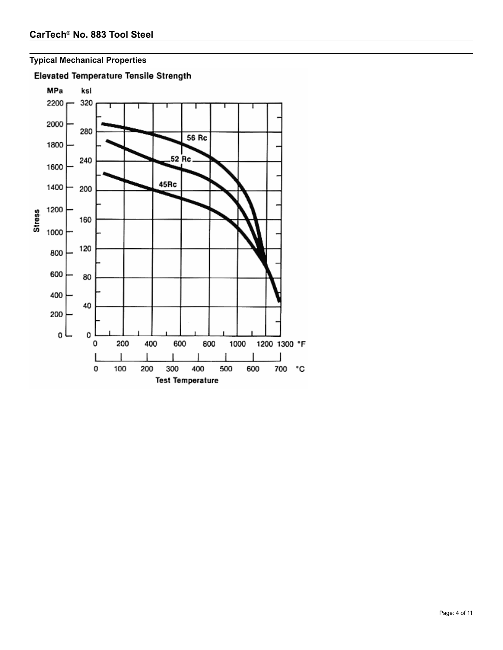# **Typical Mechanical Properties**



# **Elevated Temperature Tensile Strength**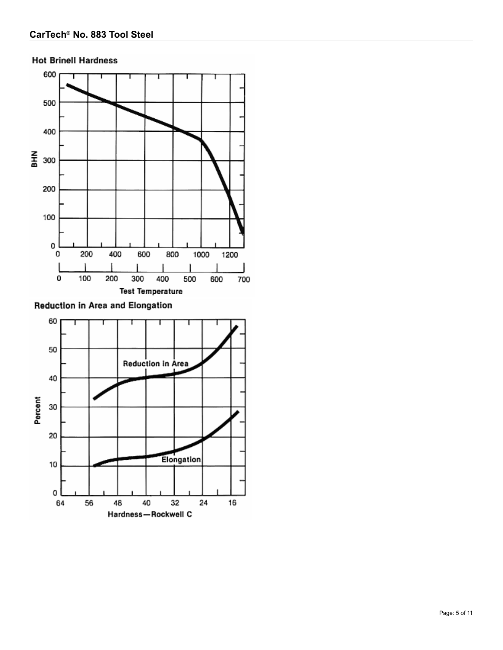



Reduction in Area and Elongation

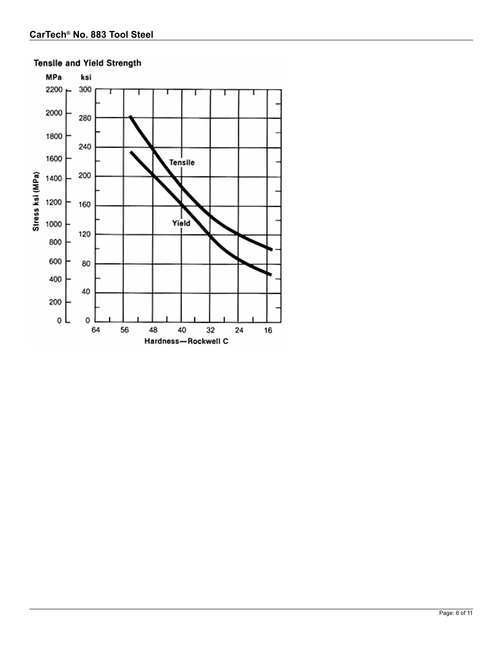

# **Tensile and Yield Strength**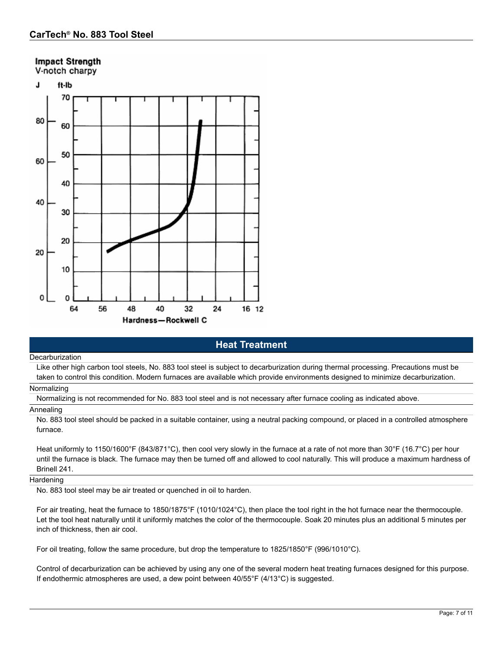# **Impact Strength**

V-notch charpy



# **Heat Treatment**

#### Decarburization

Like other high carbon tool steels, No. 883 tool steel is subject to decarburization during thermal processing. Precautions must be taken to control this condition. Modern furnaces are available which provide environments designed to minimize decarburization.

### **Normalizing**

Normalizing is not recommended for No. 883 tool steel and is not necessary after furnace cooling as indicated above.

#### Annealing

No. 883 tool steel should be packed in a suitable container, using a neutral packing compound, or placed in a controlled atmosphere furnace.

Heat uniformly to 1150/1600°F (843/871°C), then cool very slowly in the furnace at a rate of not more than 30°F (16.7°C) per hour until the furnace is black. The furnace may then be turned off and allowed to cool naturally. This will produce a maximum hardness of Brinell 241.

### **Hardening**

No. 883 tool steel may be air treated or quenched in oil to harden.

For air treating, heat the furnace to 1850/1875°F (1010/1024°C), then place the tool right in the hot furnace near the thermocouple. Let the tool heat naturally until it uniformly matches the color of the thermocouple. Soak 20 minutes plus an additional 5 minutes per inch of thickness, then air cool.

For oil treating, follow the same procedure, but drop the temperature to 1825/1850°F (996/1010°C).

Control of decarburization can be achieved by using any one of the several modern heat treating furnaces designed for this purpose. If endothermic atmospheres are used, a dew point between 40/55°F (4/13°C) is suggested.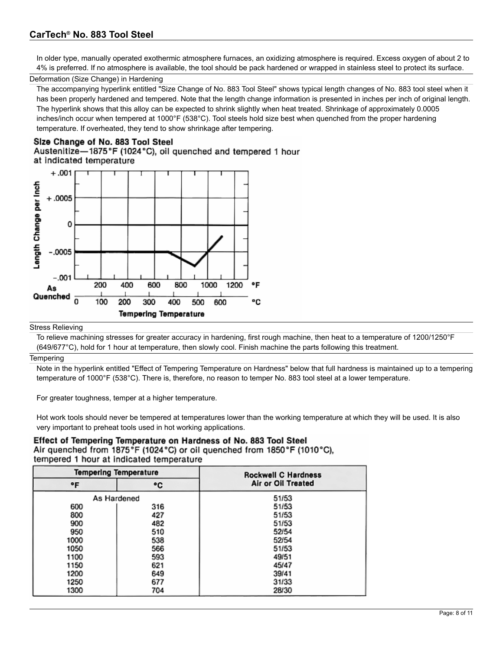In older type, manually operated exothermic atmosphere furnaces, an oxidizing atmosphere is required. Excess oxygen of about 2 to 4% is preferred. If no atmosphere is available, the tool should be pack hardened or wrapped in stainless steel to protect its surface.

### Deformation (Size Change) in Hardening

The accompanying hyperlink entitled "Size Change of No. 883 Tool Steel" shows typical length changes of No. 883 tool steel when it has been properly hardened and tempered. Note that the length change information is presented in inches per inch of original length. The hyperlink shows that this alloy can be expected to shrink slightly when heat treated. Shrinkage of approximately 0.0005 inches/inch occur when tempered at 1000°F (538°C). Tool steels hold size best when quenched from the proper hardening temperature. If overheated, they tend to show shrinkage after tempering.

# Size Change of No. 883 Tool Steel

Austenitize-1875°F (1024°C), oil quenched and tempered 1 hour at indicated temperature



#### Stress Relieving

To relieve machining stresses for greater accuracy in hardening, first rough machine, then heat to a temperature of 1200/1250°F (649/677°C), hold for 1 hour at temperature, then slowly cool. Finish machine the parts following this treatment.

#### **Tempering**

Note in the hyperlink entitled "Effect of Tempering Temperature on Hardness" below that full hardness is maintained up to a tempering temperature of 1000°F (538°C). There is, therefore, no reason to temper No. 883 tool steel at a lower temperature.

For greater toughness, temper at a higher temperature.

Hot work tools should never be tempered at temperatures lower than the working temperature at which they will be used. It is also very important to preheat tools used in hot working applications.

# Effect of Tempering Temperature on Hardness of No. 883 Tool Steel

Air quenched from 1875°F (1024°C) or oil quenched from 1850°F (1010°C), tempered 1 hour at indicated temperature

|      | <b>Tempering Temperature</b> | <b>Rockwell C Hardness</b> |
|------|------------------------------|----------------------------|
| ۰F   | ۰c                           | Air or Oil Treated         |
|      | As Hardened                  | 51/53                      |
| 600  | 316                          | 51/53                      |
| 800  | 427                          | 51/53                      |
| 900  | 482                          | 51/53                      |
| 950  | 510                          | 52/54                      |
| 1000 | 538                          | 52/54                      |
| 1050 | 566                          | 51/53                      |
| 1100 | 593                          | 49/51                      |
| 1150 | 621                          | 45/47                      |
| 1200 | 649                          | 39/41                      |
| 1250 | 677                          | 31/33                      |
| 1300 | 704                          | 28/30                      |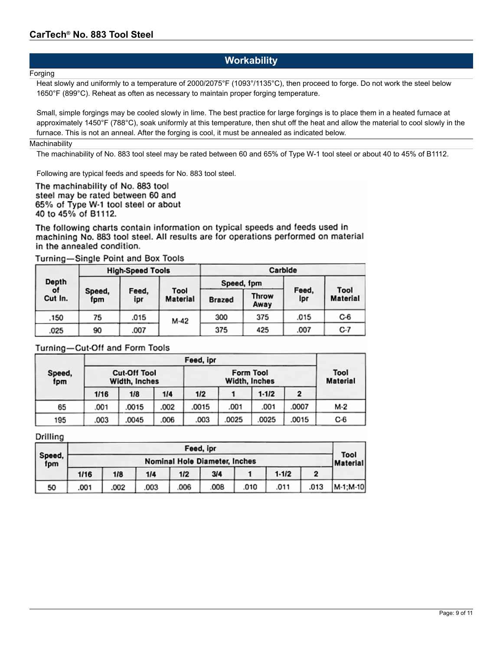# **Workability**

### **Forging**

Heat slowly and uniformly to a temperature of 2000/2075°F (1093°/1135°C), then proceed to forge. Do not work the steel below 1650°F (899°C). Reheat as often as necessary to maintain proper forging temperature.

Small, simple forgings may be cooled slowly in lime. The best practice for large forgings is to place them in a heated furnace at approximately 1450°F (788°C), soak uniformly at this temperature, then shut off the heat and allow the material to cool slowly in the furnace. This is not an anneal. After the forging is cool, it must be annealed as indicated below.

### **Machinability**

The machinability of No. 883 tool steel may be rated between 60 and 65% of Type W-1 tool steel or about 40 to 45% of B1112.

Following are typical feeds and speeds for No. 883 tool steel.

The machinability of No. 883 tool steel may be rated between 60 and 65% of Type W-1 tool steel or about 40 to 45% of B1112.

The following charts contain information on typical speeds and feeds used in machining No. 883 tool steel. All results are for operations performed on material in the annealed condition.

| Turning—Single Point and Box Tools |  |  |  |
|------------------------------------|--|--|--|
|------------------------------------|--|--|--|

|               |               | <b>High-Speed Tools</b> |                         | Carbide       |               |              |                         |  |
|---------------|---------------|-------------------------|-------------------------|---------------|---------------|--------------|-------------------------|--|
| Depth         |               |                         |                         |               | Speed, 1pm    |              |                         |  |
| ot<br>Cut In. | Speed,<br>fpm | Feed.<br>ipr            | Tool<br><b>Material</b> | <b>Brazed</b> | Throw<br>Away | Feed,<br>Ipr | Tool<br><b>Material</b> |  |
| .150          | 75            | .015                    | M-42                    | 300           | 375           | .015         | $C-6$                   |  |
| .025          | 90            | .007                    |                         | 375           | 425           | .007         | C-7                     |  |

# Turning-Cut-Off and Form Tools

|               |                                      | Feed, ipr |      |                         |      |           |                |       |  |  |
|---------------|--------------------------------------|-----------|------|-------------------------|------|-----------|----------------|-------|--|--|
| Speed,<br>fpm | <b>Cut-Off Tool</b><br>Width, Inches |           |      | Tool<br><b>Material</b> |      |           |                |       |  |  |
|               | 1/16                                 | 1/8       | 1/4  | 1/2                     |      | $1 - 1/2$ | $\overline{2}$ |       |  |  |
| 65            | .001                                 | .0015     | .002 | .0015                   | .001 | .001      | .0007          | М-2   |  |  |
| 195           | .003                                 | .0045     | .006 | .003                    | 0025 | .0025     | .0015          | $C-6$ |  |  |

Drilling

|               |                               | Feed, ipr |     |      |      |      |           |      |                         |  |
|---------------|-------------------------------|-----------|-----|------|------|------|-----------|------|-------------------------|--|
| Speed,<br>fpm | Nominal Hole Diameter, Inches |           |     |      |      |      |           |      | Tool<br><b>Material</b> |  |
|               | 1/16                          | 1/8       | 1/4 | 1/2  | 3/4  |      | $1 - 1/2$ |      |                         |  |
| 50            | .001                          | .002      | 003 | .006 | .008 | .010 | .011      | .013 | M-1;M-10                |  |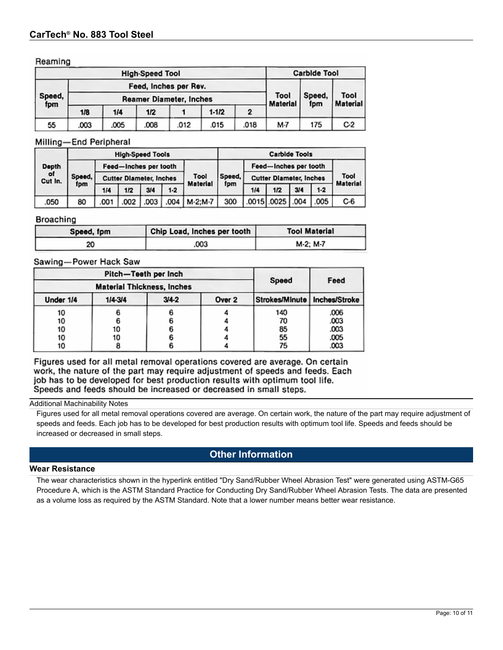### Reaming

|                                                                          | <b>High-Speed Tool</b> |      |      |      |         |      |                         | <b>Carbide Tool</b> |                         |  |  |
|--------------------------------------------------------------------------|------------------------|------|------|------|---------|------|-------------------------|---------------------|-------------------------|--|--|
| Feed, Inches per Rev.<br>Speed,<br><b>Reamer Diameter, Inches</b><br>fpm |                        |      |      |      |         |      |                         | Speed,<br>fpm       | Tool<br><b>Material</b> |  |  |
|                                                                          |                        |      |      |      |         |      | Tool<br><b>Material</b> |                     |                         |  |  |
|                                                                          | 1/8                    | 1/4  | 1/2  |      | $1-1/2$ | 2    |                         |                     |                         |  |  |
| 55                                                                       | .003                   | .005 | .008 | .012 | .015    | .018 | M-7                     | 175                 | C <sub>2</sub>          |  |  |

### Milling-End Peripheral

| <b>High-Speed Tools</b>                 |                                |                       |      |      |        | <b>Carbide Tools</b>           |                       |     |                         |     |       |     |
|-----------------------------------------|--------------------------------|-----------------------|------|------|--------|--------------------------------|-----------------------|-----|-------------------------|-----|-------|-----|
| Depth<br>of<br>Speed,<br>Cut In.<br>fpm |                                | Feed-Inches per tooth |      |      |        |                                | Feed-Inches per tooth |     |                         |     |       |     |
|                                         | <b>Cutter Diameter, Inches</b> |                       |      | Tool | Speed. | <b>Cutter Diameter, Inches</b> |                       |     | Tool<br><b>Material</b> |     |       |     |
|                                         |                                | 1/4                   | 1/2  | 3/4  | $1-2$  | <b>Material</b>                | fpm                   | 1/4 | 1/2                     | 3/4 | $1-2$ |     |
| .050                                    | 80                             | 001                   | .002 | 003  |        | .004   M-2:M-7                 | 300                   |     | 0015 .0025 .004         |     | .005  | C-6 |

### Broaching

| Speed, fpm | Chip Load, Inches per tooth | <b>Tool Material</b> |
|------------|-----------------------------|----------------------|
| 20         | .003                        | M-2: M-7             |

# Sawing-Power Hack Saw

|           | Pitch-Teeth per Inch              |           | Feed   |                                |      |
|-----------|-----------------------------------|-----------|--------|--------------------------------|------|
|           | <b>Material Thickness, Inches</b> | Speed     |        |                                |      |
| Under 1/4 | $1/4 - 3/4$                       | $3/4 - 2$ | Over 2 | Strokes/Minute   Inches/Stroke |      |
| 10        |                                   |           |        | 140                            | .006 |
| 10        |                                   |           |        | 70                             | .003 |
| 10        | 10                                |           |        | 85                             | .003 |
| 10        | 10                                |           |        | 55                             | .005 |
| 10        |                                   |           |        | 75                             | .003 |

Figures used for all metal removal operations covered are average. On certain work, the nature of the part may require adjustment of speeds and feeds. Each job has to be developed for best production results with optimum tool life. Speeds and feeds should be increased or decreased in small steps.

#### Additional Machinability Notes

Figures used for all metal removal operations covered are average. On certain work, the nature of the part may require adjustment of speeds and feeds. Each job has to be developed for best production results with optimum tool life. Speeds and feeds should be increased or decreased in small steps.

# **Other Information**

### **Wear Resistance**

The wear characteristics shown in the hyperlink entitled "Dry Sand/Rubber Wheel Abrasion Test" were generated using ASTM-G65 Procedure A, which is the ASTM Standard Practice for Conducting Dry Sand/Rubber Wheel Abrasion Tests. The data are presented as a volume loss as required by the ASTM Standard. Note that a lower number means better wear resistance.